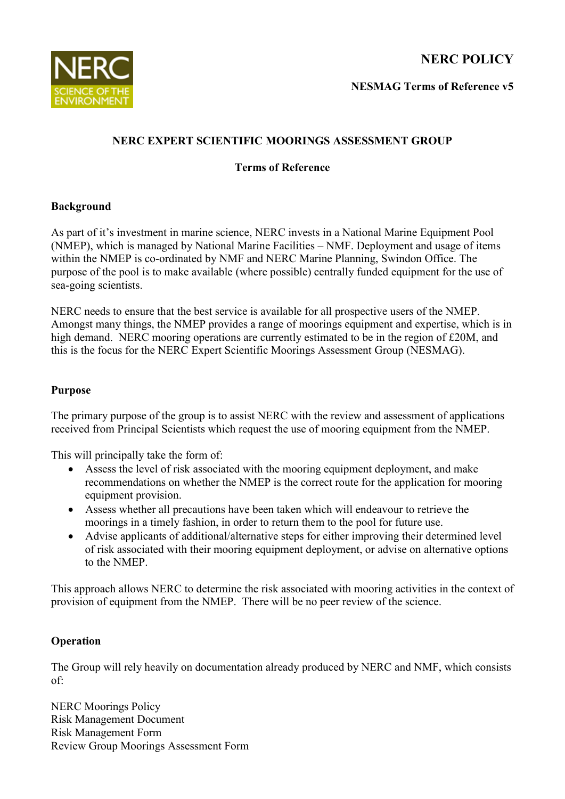**NERC POLICY**



**NESMAG Terms of Reference v5**

# **NERC EXPERT SCIENTIFIC MOORINGS ASSESSMENT GROUP**

### **Terms of Reference**

# **Background**

As part of it's investment in marine science, NERC invests in a National Marine Equipment Pool (NMEP), which is managed by National Marine Facilities – NMF. Deployment and usage of items within the NMEP is co-ordinated by NMF and NERC Marine Planning, Swindon Office. The purpose of the pool is to make available (where possible) centrally funded equipment for the use of sea-going scientists.

NERC needs to ensure that the best service is available for all prospective users of the NMEP. Amongst many things, the NMEP provides a range of moorings equipment and expertise, which is in high demand. NERC mooring operations are currently estimated to be in the region of £20M, and this is the focus for the NERC Expert Scientific Moorings Assessment Group (NESMAG).

#### **Purpose**

The primary purpose of the group is to assist NERC with the review and assessment of applications received from Principal Scientists which request the use of mooring equipment from the NMEP.

This will principally take the form of:

- Assess the level of risk associated with the mooring equipment deployment, and make recommendations on whether the NMEP is the correct route for the application for mooring equipment provision.
- Assess whether all precautions have been taken which will endeavour to retrieve the moorings in a timely fashion, in order to return them to the pool for future use.
- Advise applicants of additional/alternative steps for either improving their determined level of risk associated with their mooring equipment deployment, or advise on alternative options to the NMEP.

This approach allows NERC to determine the risk associated with mooring activities in the context of provision of equipment from the NMEP. There will be no peer review of the science.

# **Operation**

The Group will rely heavily on documentation already produced by NERC and NMF, which consists of:

NERC Moorings Policy Risk Management Document Risk Management Form Review Group Moorings Assessment Form